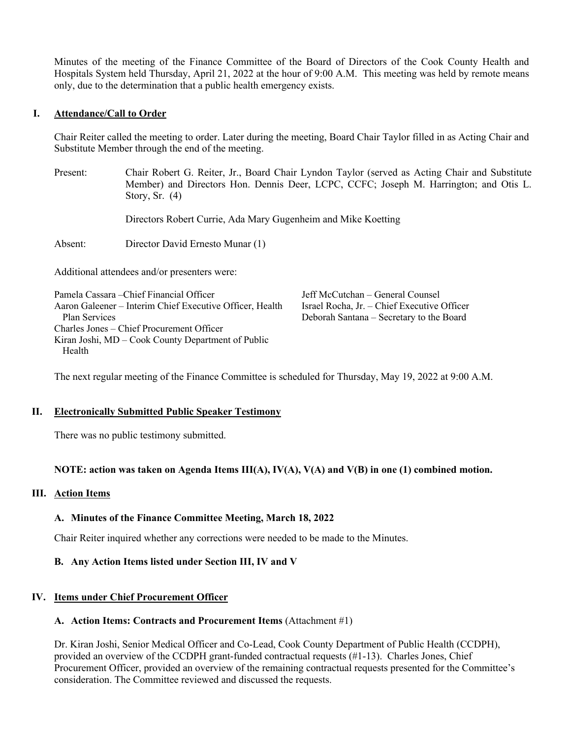Minutes of the meeting of the Finance Committee of the Board of Directors of the Cook County Health and Hospitals System held Thursday, April 21, 2022 at the hour of 9:00 A.M. This meeting was held by remote means only, due to the determination that a public health emergency exists.

### **I. Attendance/Call to Order**

Chair Reiter called the meeting to order. Later during the meeting, Board Chair Taylor filled in as Acting Chair and Substitute Member through the end of the meeting.

Present: Chair Robert G. Reiter, Jr., Board Chair Lyndon Taylor (served as Acting Chair and Substitute Member) and Directors Hon. Dennis Deer, LCPC, CCFC; Joseph M. Harrington; and Otis L. Story, Sr. (4)

Directors Robert Currie, Ada Mary Gugenheim and Mike Koetting

Absent: Director David Ernesto Munar (1)

Additional attendees and/or presenters were:

| Pamela Cassara – Chief Financial Officer                 | Jeff McCutchan - General Counsel            |
|----------------------------------------------------------|---------------------------------------------|
| Aaron Galeener – Interim Chief Executive Officer, Health | Israel Rocha, Jr. - Chief Executive Officer |
| Plan Services                                            | Deborah Santana – Secretary to the Board    |
| Charles Jones – Chief Procurement Officer                |                                             |
| Kiran Joshi, MD – Cook County Department of Public       |                                             |
| Health                                                   |                                             |

The next regular meeting of the Finance Committee is scheduled for Thursday, May 19, 2022 at 9:00 A.M.

#### **II. Electronically Submitted Public Speaker Testimony**

There was no public testimony submitted.

### **NOTE: action was taken on Agenda Items III(A), IV(A), V(A) and V(B) in one (1) combined motion.**

### **III. Action Items**

### **A. Minutes of the Finance Committee Meeting, March 18, 2022**

Chair Reiter inquired whether any corrections were needed to be made to the Minutes.

### **B. Any Action Items listed under Section III, IV and V**

### **IV. Items under Chief Procurement Officer**

#### **A. Action Items: Contracts and Procurement Items** (Attachment #1)

Dr. Kiran Joshi, Senior Medical Officer and Co-Lead, Cook County Department of Public Health (CCDPH), provided an overview of the CCDPH grant-funded contractual requests (#1-13). Charles Jones, Chief Procurement Officer, provided an overview of the remaining contractual requests presented for the Committee's consideration. The Committee reviewed and discussed the requests.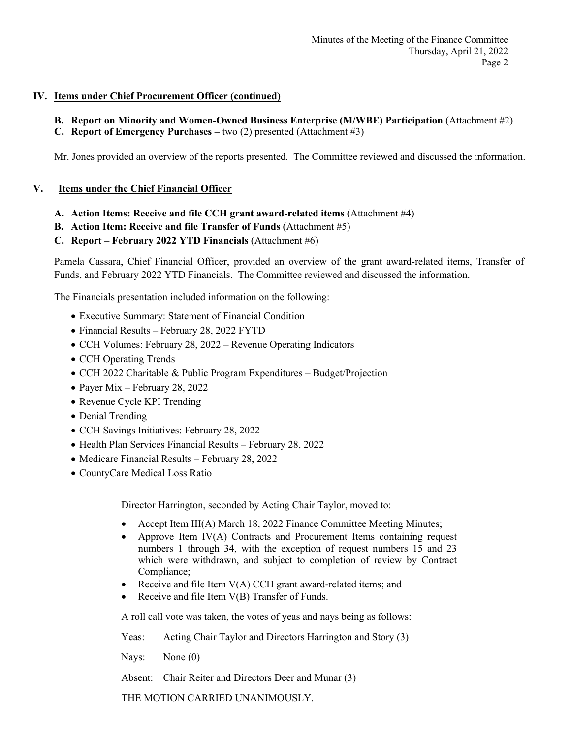## **IV. Items under Chief Procurement Officer (continued)**

- **B. Report on Minority and Women-Owned Business Enterprise (M/WBE) Participation** (Attachment #2)
- **C. Report of Emergency Purchases –** two (2) presented (Attachment #3)

Mr. Jones provided an overview of the reports presented. The Committee reviewed and discussed the information.

## **V. Items under the Chief Financial Officer**

- **A. Action Items: Receive and file CCH grant award-related items** (Attachment #4)
- **B. Action Item: Receive and file Transfer of Funds** (Attachment #5)

## **C. Report – February 2022 YTD Financials** (Attachment #6)

Pamela Cassara, Chief Financial Officer, provided an overview of the grant award-related items, Transfer of Funds, and February 2022 YTD Financials. The Committee reviewed and discussed the information.

The Financials presentation included information on the following:

- Executive Summary: Statement of Financial Condition
- Financial Results February 28, 2022 FYTD
- CCH Volumes: February 28, 2022 Revenue Operating Indicators
- CCH Operating Trends
- CCH 2022 Charitable & Public Program Expenditures Budget/Projection
- Payer Mix February 28, 2022
- Revenue Cycle KPI Trending
- Denial Trending
- CCH Savings Initiatives: February 28, 2022
- Health Plan Services Financial Results February 28, 2022
- Medicare Financial Results February 28, 2022
- CountyCare Medical Loss Ratio

Director Harrington, seconded by Acting Chair Taylor, moved to:

- Accept Item III(A) March 18, 2022 Finance Committee Meeting Minutes;
- Approve Item IV(A) Contracts and Procurement Items containing request numbers 1 through 34, with the exception of request numbers 15 and 23 which were withdrawn, and subject to completion of review by Contract Compliance;
- Receive and file Item  $V(A)$  CCH grant award-related items; and
- Receive and file Item V(B) Transfer of Funds.

A roll call vote was taken, the votes of yeas and nays being as follows:

Yeas: Acting Chair Taylor and Directors Harrington and Story (3)

Nays: None (0)

Absent: Chair Reiter and Directors Deer and Munar (3)

THE MOTION CARRIED UNANIMOUSLY.